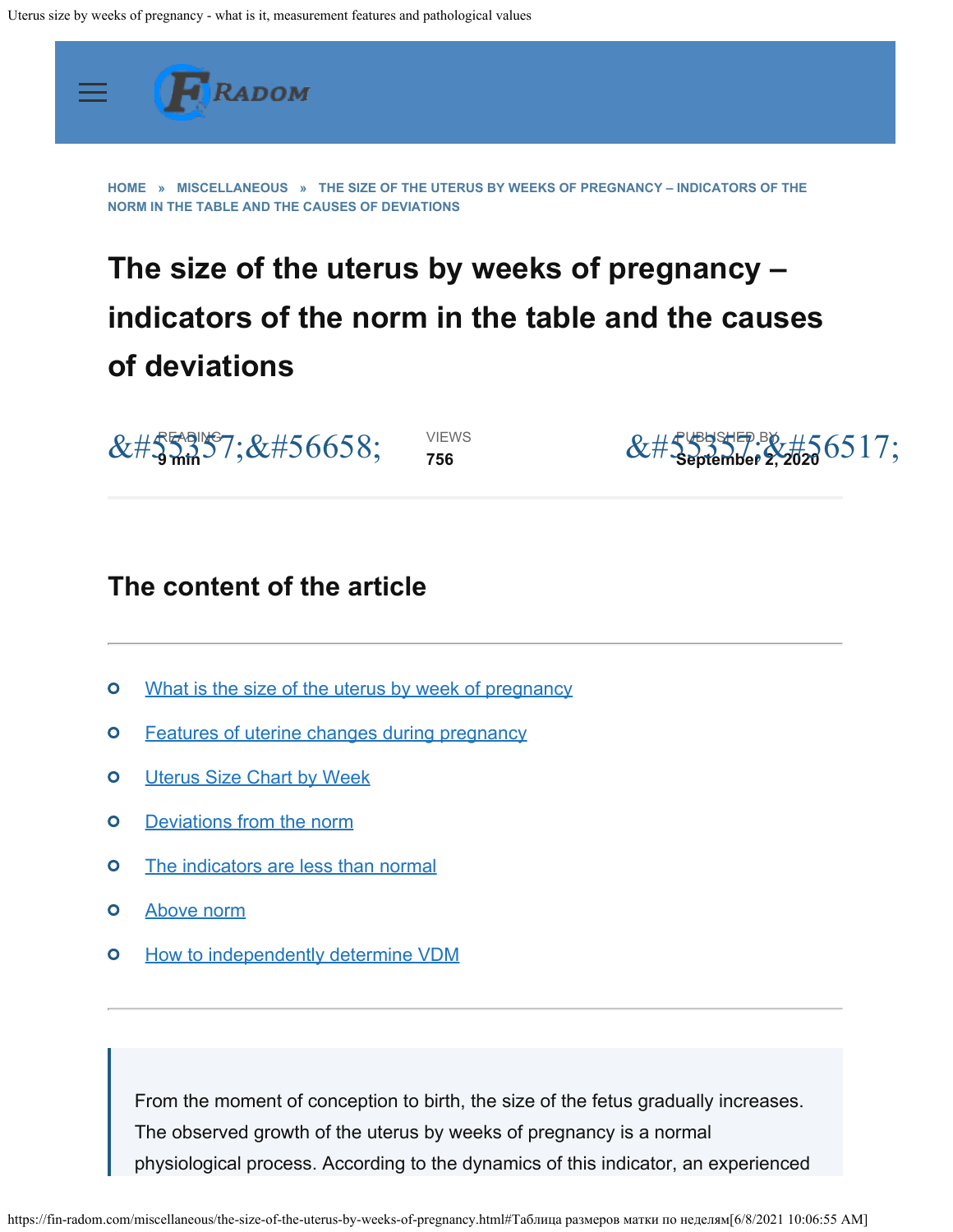<span id="page-0-0"></span>

**[HOME](https://fin-radom.com/) » [MISCELLANEOUS](https://fin-radom.com/category/miscellaneous) » THE SIZE OF THE UTERUS BY WEEKS OF PREGNANCY – INDICATORS OF THE NORM IN THE TABLE AND THE CAUSES OF DEVIATIONS**

# **The size of the uterus by weeks of pregnancy – indicators of the norm in the table and the causes of deviations**

READING �� **9 min**

VIEWS **756**



# **The content of the article**

- [What is the size of the uterus by week of pregnancy](#page-0-0)  $\mathbf{o}$
- $\bullet$ [Features of uterine changes during pregnancy](#page-0-0)
- $\bullet$ **[Uterus Size Chart by Week](#page-0-0)**
- $\bullet$ [Deviations from the norm](#page-0-0)
- [The indicators are less than normal](#page-0-0)  $\bullet$
- $\overline{O}$ [Above norm](#page-0-0)
- $\overline{O}$ [How to independently determine VDM](#page-0-0)

From the moment of conception to birth, the size of the fetus gradually increases. The observed growth of the uterus by weeks of pregnancy is a normal physiological process. According to the dynamics of this indicator, an experienced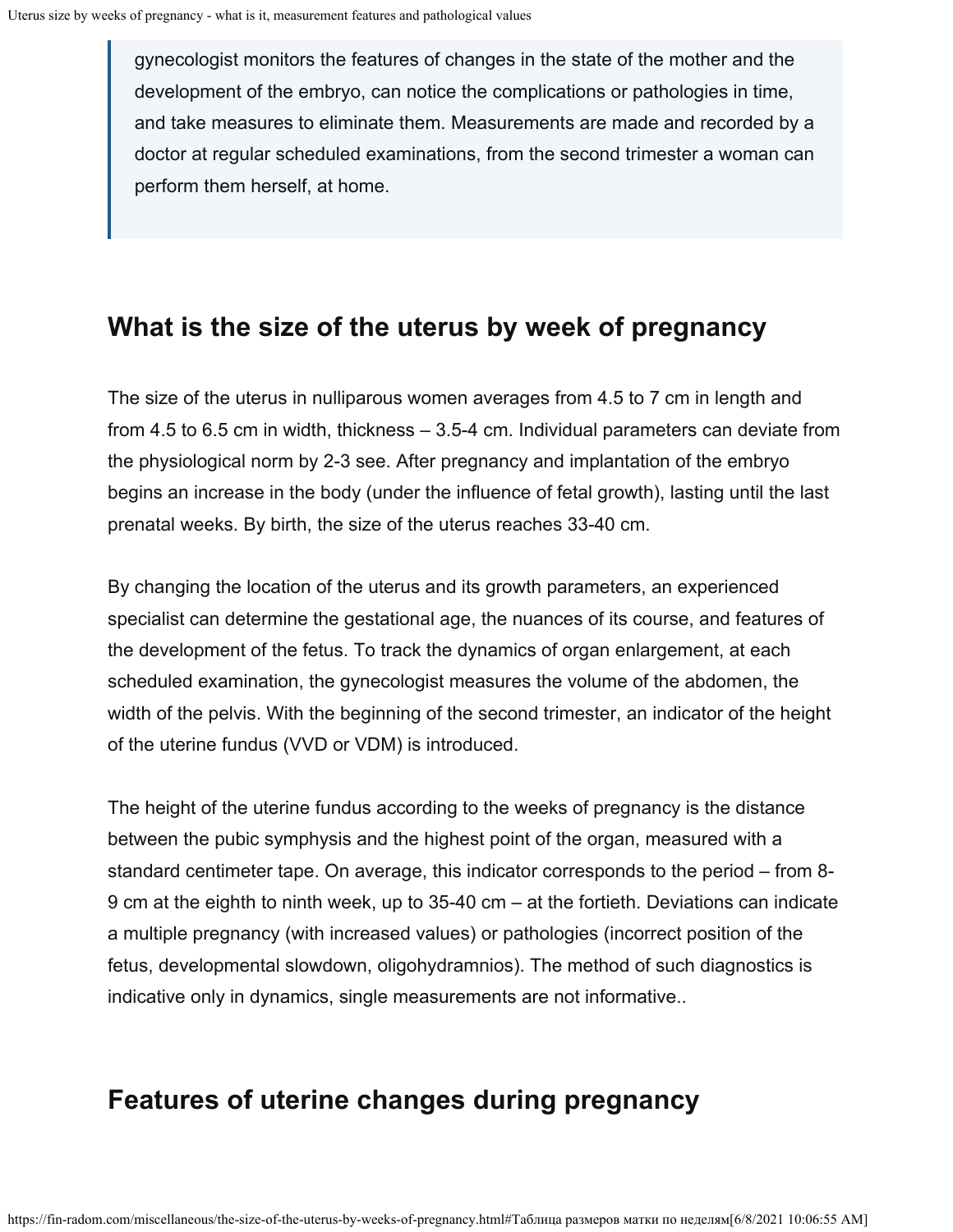gynecologist monitors the features of changes in the state of the mother and the development of the embryo, can notice the complications or pathologies in time, and take measures to eliminate them. Measurements are made and recorded by a doctor at regular scheduled examinations, from the second trimester a woman can perform them herself, at home.

### **What is the size of the uterus by week of pregnancy**

The size of the uterus in nulliparous women averages from 4.5 to 7 cm in length and from 4.5 to 6.5 cm in width, thickness – 3.5-4 cm. Individual parameters can deviate from the physiological norm by 2-3 see. After pregnancy and implantation of the embryo begins an increase in the body (under the influence of fetal growth), lasting until the last prenatal weeks. By birth, the size of the uterus reaches 33-40 cm.

By changing the location of the uterus and its growth parameters, an experienced specialist can determine the gestational age, the nuances of its course, and features of the development of the fetus. To track the dynamics of organ enlargement, at each scheduled examination, the gynecologist measures the volume of the abdomen, the width of the pelvis. With the beginning of the second trimester, an indicator of the height of the uterine fundus (VVD or VDM) is introduced.

The height of the uterine fundus according to the weeks of pregnancy is the distance between the pubic symphysis and the highest point of the organ, measured with a standard centimeter tape. On average, this indicator corresponds to the period – from 8- 9 cm at the eighth to ninth week, up to 35-40 cm – at the fortieth. Deviations can indicate a multiple pregnancy (with increased values) or pathologies (incorrect position of the fetus, developmental slowdown, oligohydramnios). The method of such diagnostics is indicative only in dynamics, single measurements are not informative..

# **Features of uterine changes during pregnancy**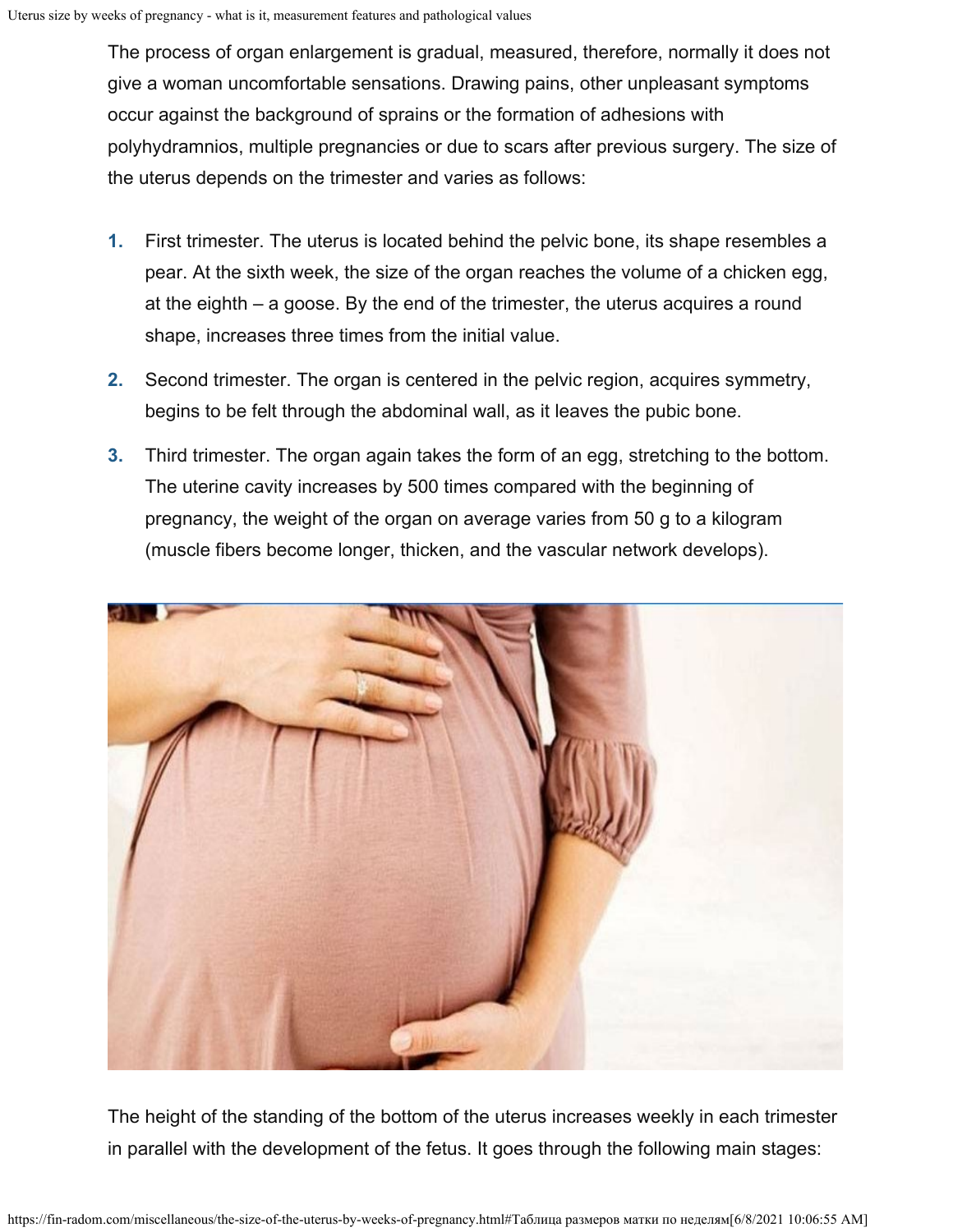The process of organ enlargement is gradual, measured, therefore, normally it does not give a woman uncomfortable sensations. Drawing pains, other unpleasant symptoms occur against the background of sprains or the formation of adhesions with polyhydramnios, multiple pregnancies or due to scars after previous surgery. The size of the uterus depends on the trimester and varies as follows:

- First trimester. The uterus is located behind the pelvic bone, its shape resembles a pear. At the sixth week, the size of the organ reaches the volume of a chicken egg, at the eighth – a goose. By the end of the trimester, the uterus acquires a round shape, increases three times from the initial value. **1.**
- Second trimester. The organ is centered in the pelvic region, acquires symmetry, begins to be felt through the abdominal wall, as it leaves the pubic bone. **2.**
- Third trimester. The organ again takes the form of an egg, stretching to the bottom. The uterine cavity increases by 500 times compared with the beginning of pregnancy, the weight of the organ on average varies from 50 g to a kilogram (muscle fibers become longer, thicken, and the vascular network develops). **3.**



The height of the standing of the bottom of the uterus increases weekly in each trimester in parallel with the development of the fetus. It goes through the following main stages: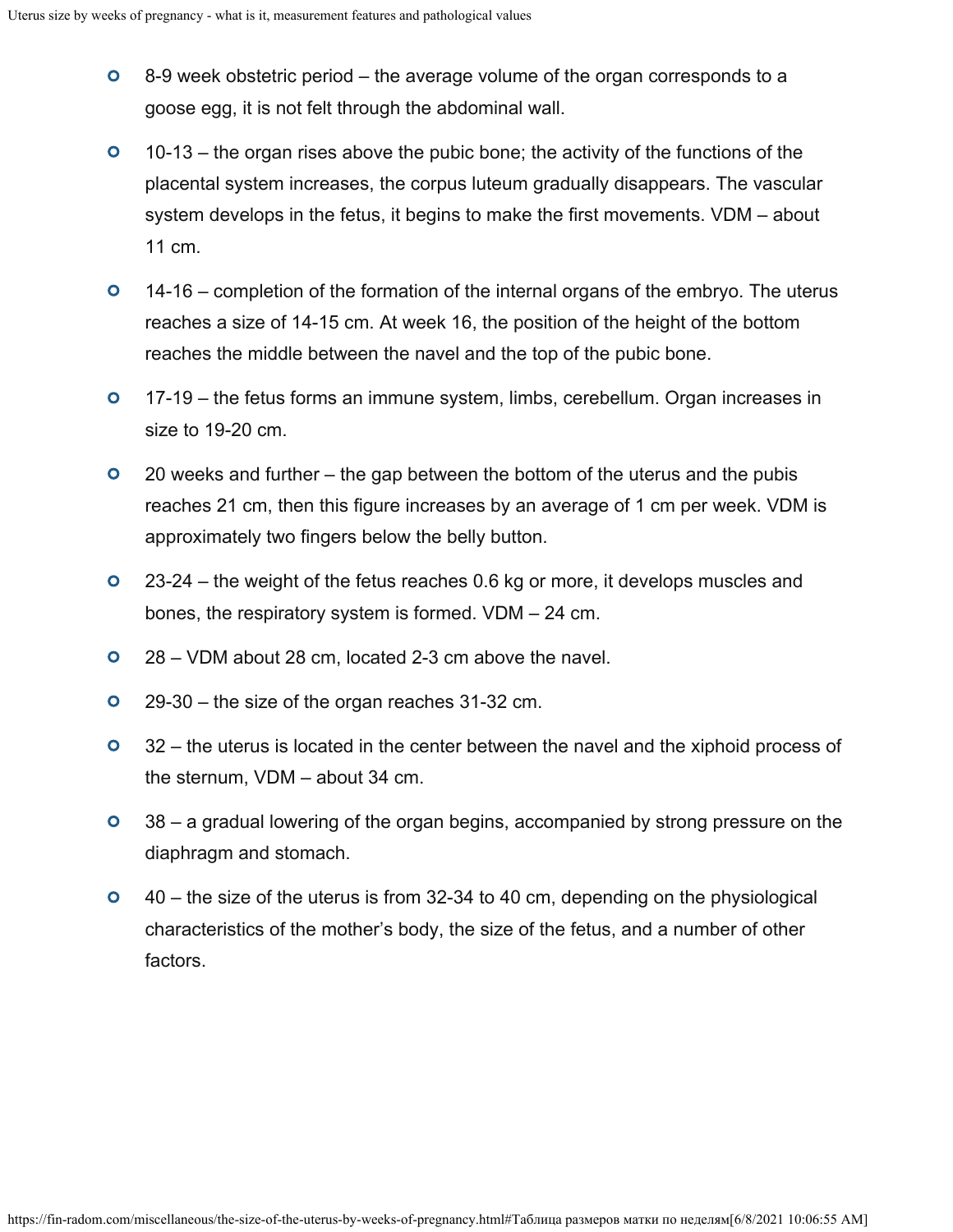- $\bullet$ 8-9 week obstetric period – the average volume of the organ corresponds to a goose egg, it is not felt through the abdominal wall.
- $\bullet$ 10-13 – the organ rises above the pubic bone; the activity of the functions of the placental system increases, the corpus luteum gradually disappears. The vascular system develops in the fetus, it begins to make the first movements. VDM – about 11 cm.
- $\bullet$ 14-16 – completion of the formation of the internal organs of the embryo. The uterus reaches a size of 14-15 cm. At week 16, the position of the height of the bottom reaches the middle between the navel and the top of the pubic bone.
- $\bullet$ 17-19 – the fetus forms an immune system, limbs, cerebellum. Organ increases in size to 19-20 cm.
- $\bullet$ 20 weeks and further – the gap between the bottom of the uterus and the pubis reaches 21 cm, then this figure increases by an average of 1 cm per week. VDM is approximately two fingers below the belly button.
- $\bullet$ 23-24 – the weight of the fetus reaches 0.6 kg or more, it develops muscles and bones, the respiratory system is formed. VDM – 24 cm.
- $\bullet$ 28 – VDM about 28 cm, located 2-3 cm above the navel.
- $\bullet$ 29-30 – the size of the organ reaches 31-32 cm.
- $\bullet$ 32 – the uterus is located in the center between the navel and the xiphoid process of the sternum, VDM – about 34 cm.
- $\overline{O}$ 38 – a gradual lowering of the organ begins, accompanied by strong pressure on the diaphragm and stomach.
- $\bullet$ 40 – the size of the uterus is from 32-34 to 40 cm, depending on the physiological characteristics of the mother's body, the size of the fetus, and a number of other factors.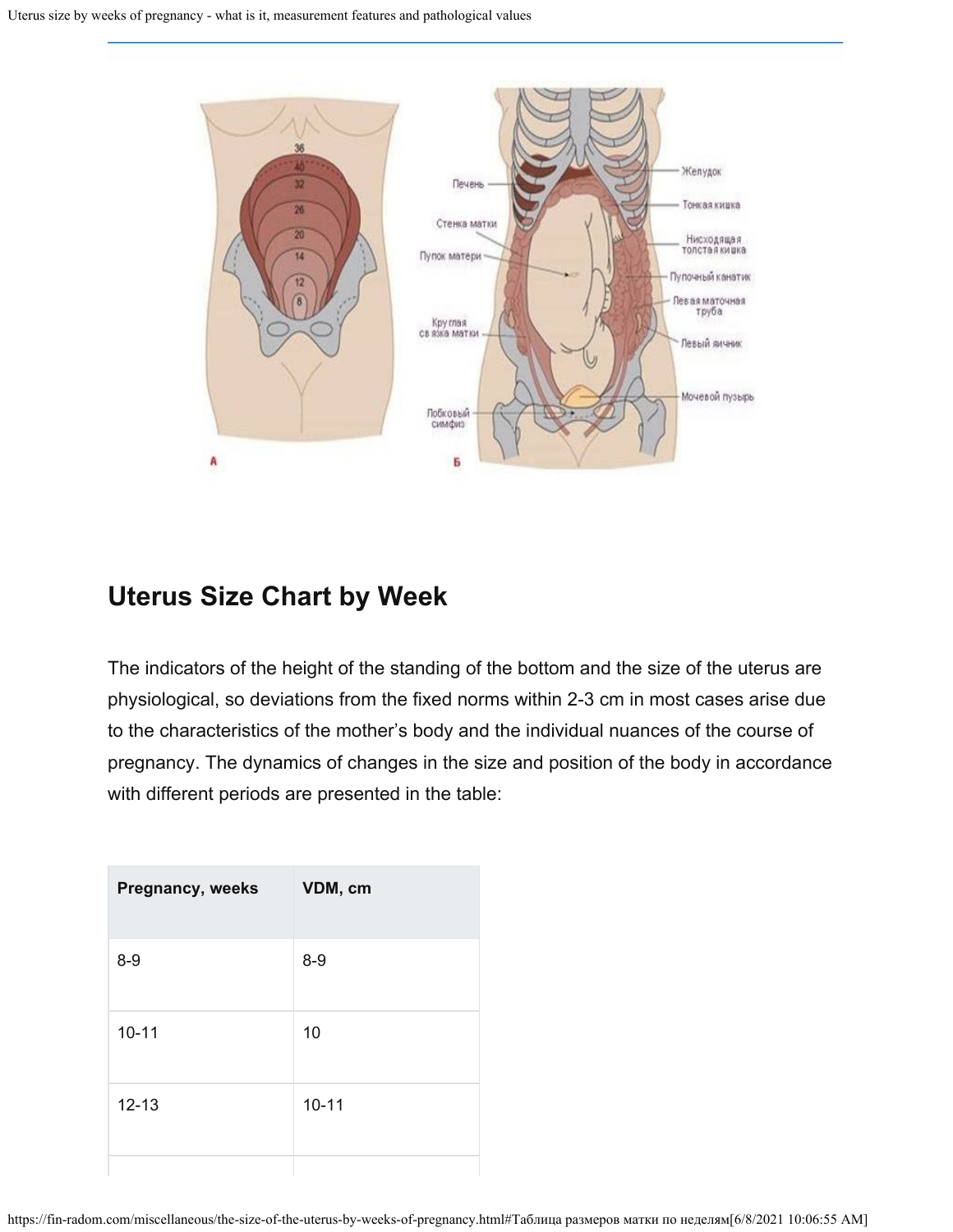

## **Uterus Size Chart by Week**

The indicators of the height of the standing of the bottom and the size of the uterus are physiological, so deviations from the fixed norms within 2-3 cm in most cases arise due to the characteristics of the mother's body and the individual nuances of the course of pregnancy. The dynamics of changes in the size and position of the body in accordance with different periods are presented in the table:

| VDM, cm   |
|-----------|
| $8 - 9$   |
| 10        |
| $10 - 11$ |
|           |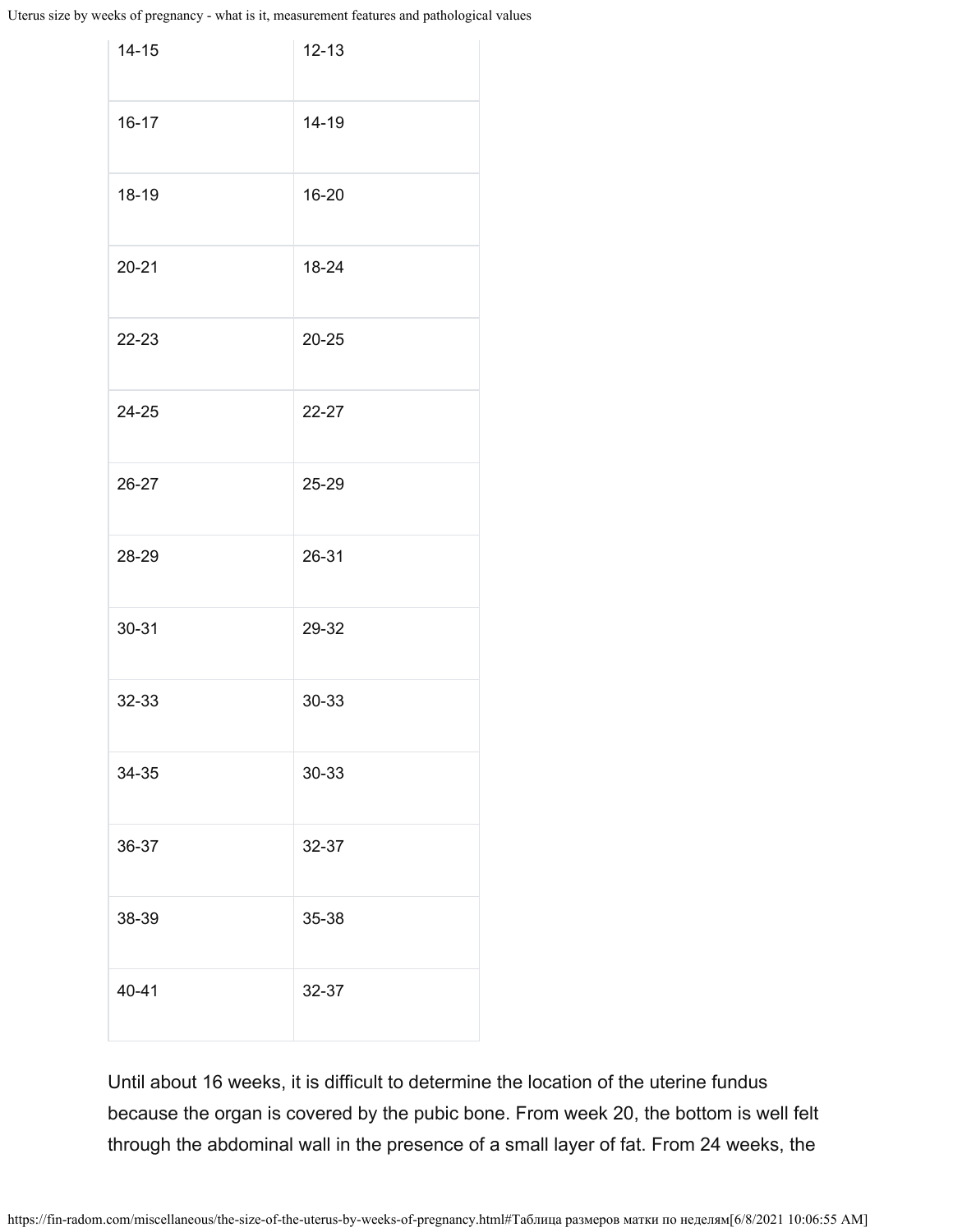Uterus size by weeks of pregnancy - what is it, measurement features and pathological values

| $14 - 15$ | $12 - 13$ |
|-----------|-----------|
| $16 - 17$ | 14-19     |
| 18-19     | 16-20     |
| $20 - 21$ | 18-24     |
| 22-23     | $20 - 25$ |
| 24-25     | 22-27     |
| 26-27     | 25-29     |
| 28-29     | 26-31     |
| 30-31     | 29-32     |
| 32-33     | 30-33     |
| 34-35     | 30-33     |
| 36-37     | 32-37     |
| 38-39     | 35-38     |
| 40-41     | 32-37     |

Until about 16 weeks, it is difficult to determine the location of the uterine fundus because the organ is covered by the pubic bone. From week 20, the bottom is well felt through the abdominal wall in the presence of a small layer of fat. From 24 weeks, the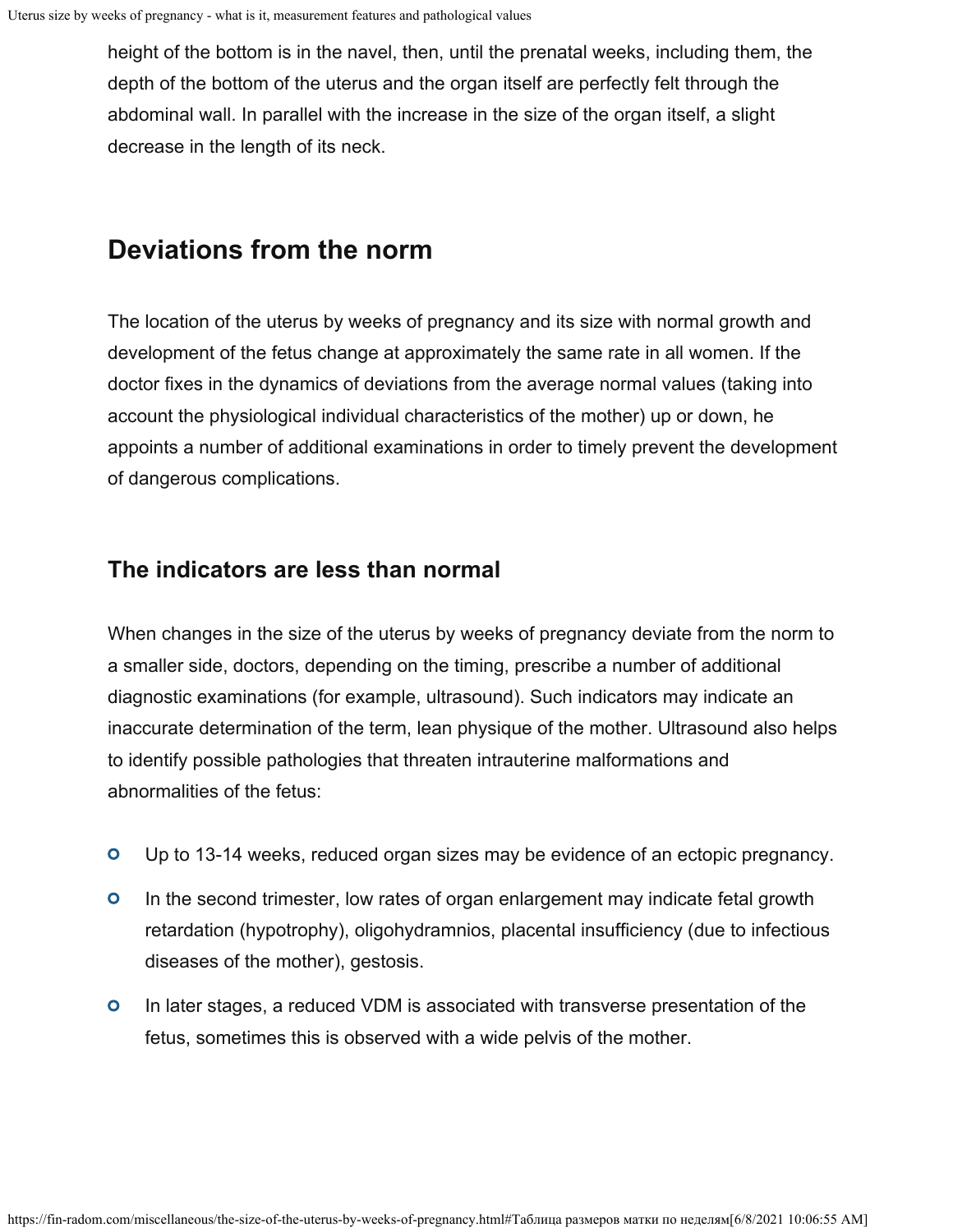height of the bottom is in the navel, then, until the prenatal weeks, including them, the depth of the bottom of the uterus and the organ itself are perfectly felt through the abdominal wall. In parallel with the increase in the size of the organ itself, a slight decrease in the length of its neck.

# **Deviations from the norm**

The location of the uterus by weeks of pregnancy and its size with normal growth and development of the fetus change at approximately the same rate in all women. If the doctor fixes in the dynamics of deviations from the average normal values (taking into account the physiological individual characteristics of the mother) up or down, he appoints a number of additional examinations in order to timely prevent the development of dangerous complications.

#### **The indicators are less than normal**

When changes in the size of the uterus by weeks of pregnancy deviate from the norm to a smaller side, doctors, depending on the timing, prescribe a number of additional diagnostic examinations (for example, ultrasound). Such indicators may indicate an inaccurate determination of the term, lean physique of the mother. Ultrasound also helps to identify possible pathologies that threaten intrauterine malformations and abnormalities of the fetus:

- $\bullet$ Up to 13-14 weeks, reduced organ sizes may be evidence of an ectopic pregnancy.
- $\bullet$ In the second trimester, low rates of organ enlargement may indicate fetal growth retardation (hypotrophy), oligohydramnios, placental insufficiency (due to infectious diseases of the mother), gestosis.
- In later stages, a reduced VDM is associated with transverse presentation of the  $\bullet$ fetus, sometimes this is observed with a wide pelvis of the mother.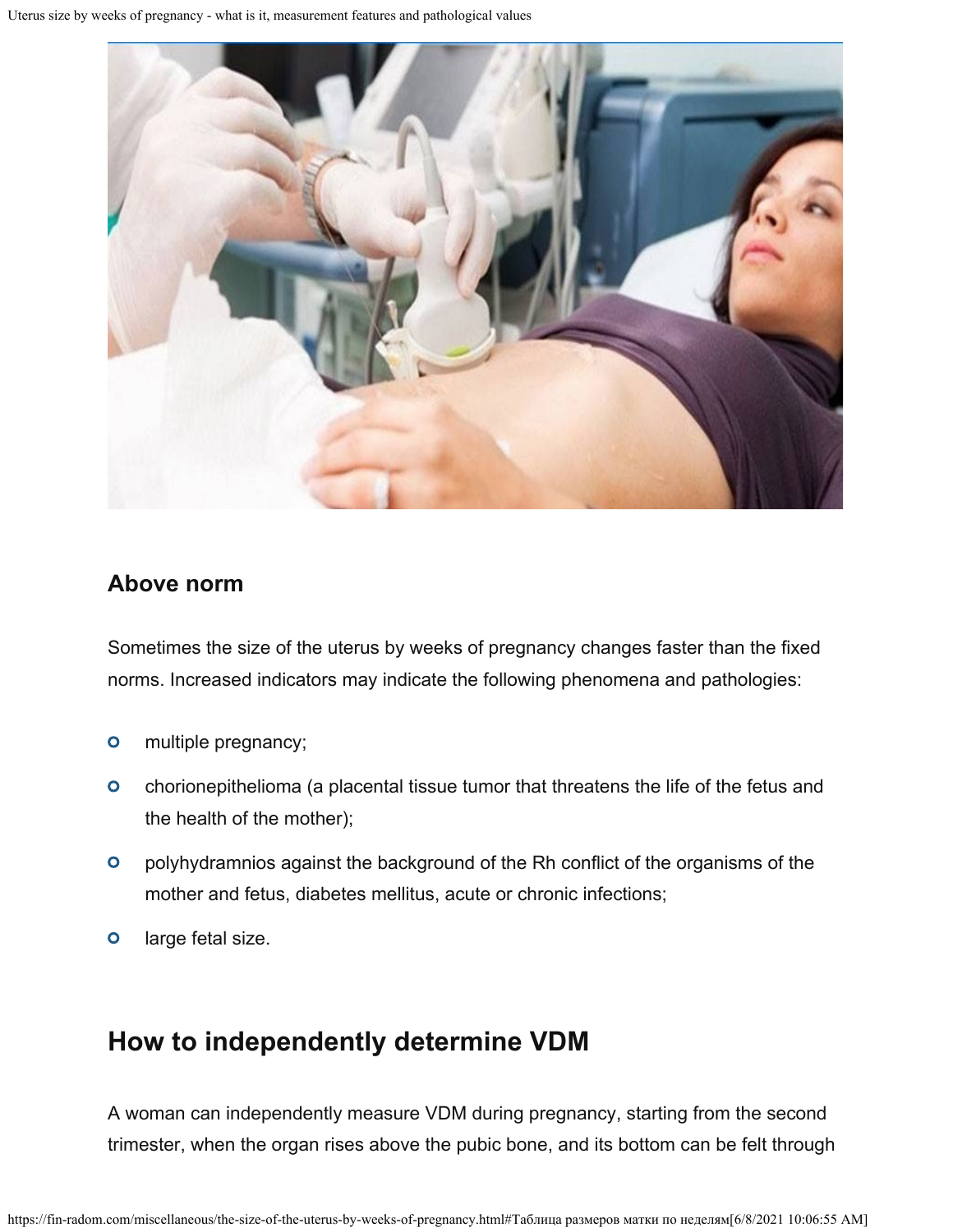

#### **Above norm**

Sometimes the size of the uterus by weeks of pregnancy changes faster than the fixed norms. Increased indicators may indicate the following phenomena and pathologies:

- $\bullet$ multiple pregnancy;
- $\bullet$ chorionepithelioma (a placental tissue tumor that threatens the life of the fetus and the health of the mother);
- $\bullet$ polyhydramnios against the background of the Rh conflict of the organisms of the mother and fetus, diabetes mellitus, acute or chronic infections;
- $\bullet$ large fetal size.

### **How to independently determine VDM**

A woman can independently measure VDM during pregnancy, starting from the second trimester, when the organ rises above the pubic bone, and its bottom can be felt through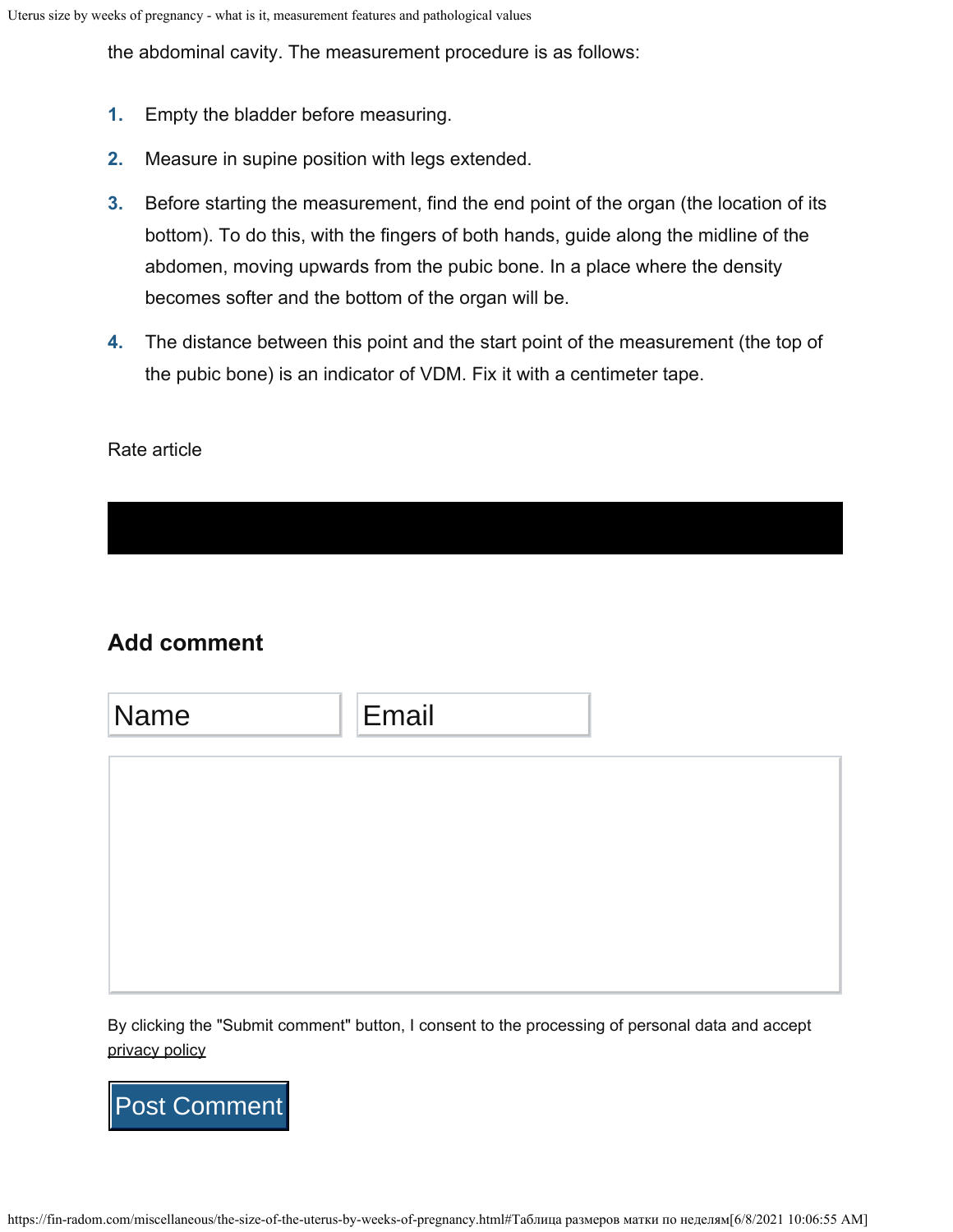the abdominal cavity. The measurement procedure is as follows:

- **1.** Empty the bladder before measuring.
- **2.** Measure in supine position with legs extended.
- Before starting the measurement, find the end point of the organ (the location of its bottom). To do this, with the fingers of both hands, guide along the midline of the abdomen, moving upwards from the pubic bone. In a place where the density becomes softer and the bottom of the organ will be. **3.**
- The distance between this point and the start point of the measurement (the top of **4.** the pubic bone) is an indicator of VDM. Fix it with a centimeter tape.

#### Rate article

### **Add comment**

| Name | Email |  |
|------|-------|--|
|      |       |  |
|      |       |  |
|      |       |  |
|      |       |  |

By clicking the "Submit comment" button, I consent to the processing of personal data and accept [privacy policy](https://fin-radom.com/privacy)